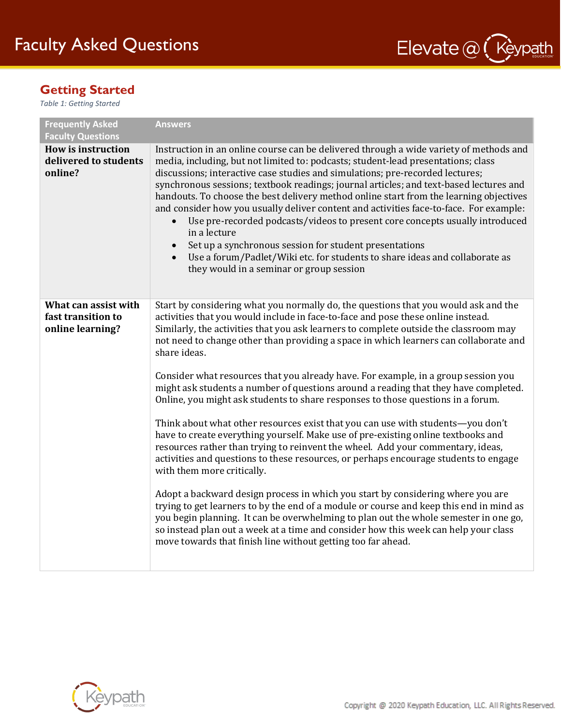

### **Getting Started**

*Table 1: Getting Started*

| <b>Frequently Asked</b><br><b>Faculty Questions</b>            | <b>Answers</b>                                                                                                                                                                                                                                                                                                                                                                                                                                                                                                                                                                                                                                                                                                                                                                                                                                                                                                                                                                                                                                                                                                                                                                                                                                                                                                                                                                                                                                           |
|----------------------------------------------------------------|----------------------------------------------------------------------------------------------------------------------------------------------------------------------------------------------------------------------------------------------------------------------------------------------------------------------------------------------------------------------------------------------------------------------------------------------------------------------------------------------------------------------------------------------------------------------------------------------------------------------------------------------------------------------------------------------------------------------------------------------------------------------------------------------------------------------------------------------------------------------------------------------------------------------------------------------------------------------------------------------------------------------------------------------------------------------------------------------------------------------------------------------------------------------------------------------------------------------------------------------------------------------------------------------------------------------------------------------------------------------------------------------------------------------------------------------------------|
| <b>How is instruction</b><br>delivered to students<br>online?  | Instruction in an online course can be delivered through a wide variety of methods and<br>media, including, but not limited to: podcasts; student-lead presentations; class<br>discussions; interactive case studies and simulations; pre-recorded lectures;<br>synchronous sessions; textbook readings; journal articles; and text-based lectures and<br>handouts. To choose the best delivery method online start from the learning objectives<br>and consider how you usually deliver content and activities face-to-face. For example:<br>Use pre-recorded podcasts/videos to present core concepts usually introduced<br>in a lecture<br>Set up a synchronous session for student presentations<br>Use a forum/Padlet/Wiki etc. for students to share ideas and collaborate as<br>they would in a seminar or group session                                                                                                                                                                                                                                                                                                                                                                                                                                                                                                                                                                                                                          |
| What can assist with<br>fast transition to<br>online learning? | Start by considering what you normally do, the questions that you would ask and the<br>activities that you would include in face-to-face and pose these online instead.<br>Similarly, the activities that you ask learners to complete outside the classroom may<br>not need to change other than providing a space in which learners can collaborate and<br>share ideas.<br>Consider what resources that you already have. For example, in a group session you<br>might ask students a number of questions around a reading that they have completed.<br>Online, you might ask students to share responses to those questions in a forum.<br>Think about what other resources exist that you can use with students-you don't<br>have to create everything yourself. Make use of pre-existing online textbooks and<br>resources rather than trying to reinvent the wheel. Add your commentary, ideas,<br>activities and questions to these resources, or perhaps encourage students to engage<br>with them more critically.<br>Adopt a backward design process in which you start by considering where you are<br>trying to get learners to by the end of a module or course and keep this end in mind as<br>you begin planning. It can be overwhelming to plan out the whole semester in one go,<br>so instead plan out a week at a time and consider how this week can help your class<br>move towards that finish line without getting too far ahead. |

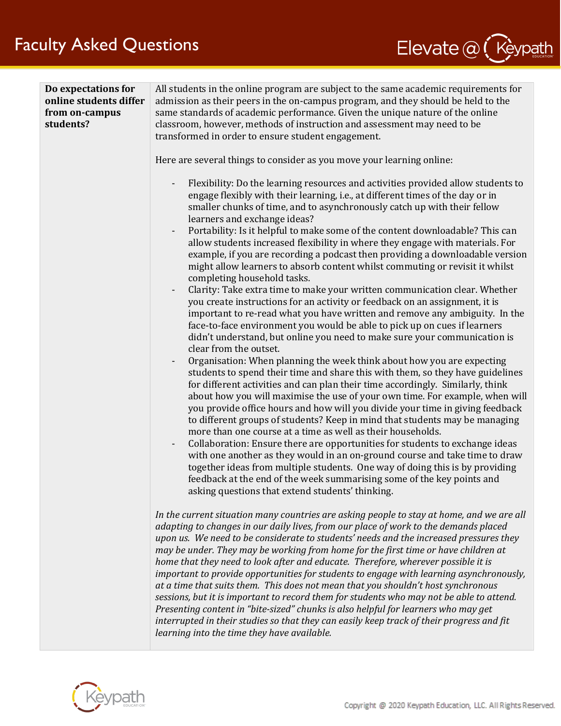

| Do expectations for<br>online students differ<br>from on-campus<br>students? | All students in the online program are subject to the same academic requirements for<br>admission as their peers in the on-campus program, and they should be held to the<br>same standards of academic performance. Given the unique nature of the online<br>classroom, however, methods of instruction and assessment may need to be<br>transformed in order to ensure student engagement.<br>Here are several things to consider as you move your learning online:<br>Flexibility: Do the learning resources and activities provided allow students to<br>$\qquad \qquad \blacksquare$<br>engage flexibly with their learning, i.e., at different times of the day or in<br>smaller chunks of time, and to asynchronously catch up with their fellow<br>learners and exchange ideas?<br>Portability: Is it helpful to make some of the content downloadable? This can<br>allow students increased flexibility in where they engage with materials. For<br>example, if you are recording a podcast then providing a downloadable version<br>might allow learners to absorb content whilst commuting or revisit it whilst<br>completing household tasks.<br>Clarity: Take extra time to make your written communication clear. Whether<br>you create instructions for an activity or feedback on an assignment, it is<br>important to re-read what you have written and remove any ambiguity. In the<br>face-to-face environment you would be able to pick up on cues if learners<br>didn't understand, but online you need to make sure your communication is<br>clear from the outset.<br>Organisation: When planning the week think about how you are expecting<br>students to spend their time and share this with them, so they have guidelines<br>for different activities and can plan their time accordingly. Similarly, think<br>about how you will maximise the use of your own time. For example, when will<br>you provide office hours and how will you divide your time in giving feedback<br>to different groups of students? Keep in mind that students may be managing<br>more than one course at a time as well as their households.<br>Collaboration: Ensure there are opportunities for students to exchange ideas<br>with one another as they would in an on-ground course and take time to draw<br>together ideas from multiple students. One way of doing this is by providing<br>feedback at the end of the week summarising some of the key points and<br>asking questions that extend students' thinking.<br>In the current situation many countries are asking people to stay at home, and we are all<br>adapting to changes in our daily lives, from our place of work to the demands placed<br>upon us. We need to be considerate to students' needs and the increased pressures they<br>may be under. They may be working from home for the first time or have children at<br>home that they need to look after and educate. Therefore, wherever possible it is<br>important to provide opportunities for students to engage with learning asynchronously,<br>at a time that suits them. This does not mean that you shouldn't host synchronous<br>sessions, but it is important to record them for students who may not be able to attend.<br>Presenting content in "bite-sized" chunks is also helpful for learners who may get<br>interrupted in their studies so that they can easily keep track of their progress and fit<br>learning into the time they have available. |
|------------------------------------------------------------------------------|-------------------------------------------------------------------------------------------------------------------------------------------------------------------------------------------------------------------------------------------------------------------------------------------------------------------------------------------------------------------------------------------------------------------------------------------------------------------------------------------------------------------------------------------------------------------------------------------------------------------------------------------------------------------------------------------------------------------------------------------------------------------------------------------------------------------------------------------------------------------------------------------------------------------------------------------------------------------------------------------------------------------------------------------------------------------------------------------------------------------------------------------------------------------------------------------------------------------------------------------------------------------------------------------------------------------------------------------------------------------------------------------------------------------------------------------------------------------------------------------------------------------------------------------------------------------------------------------------------------------------------------------------------------------------------------------------------------------------------------------------------------------------------------------------------------------------------------------------------------------------------------------------------------------------------------------------------------------------------------------------------------------------------------------------------------------------------------------------------------------------------------------------------------------------------------------------------------------------------------------------------------------------------------------------------------------------------------------------------------------------------------------------------------------------------------------------------------------------------------------------------------------------------------------------------------------------------------------------------------------------------------------------------------------------------------------------------------------------------------------------------------------------------------------------------------------------------------------------------------------------------------------------------------------------------------------------------------------------------------------------------------------------------------------------------------------------------------------------------------------------------------------------------------------------------------------------------------------------------------------------------------------------------------------------------------------------------------------------------------------------------------------------------------------------------------------------------------------------------------------------------------|

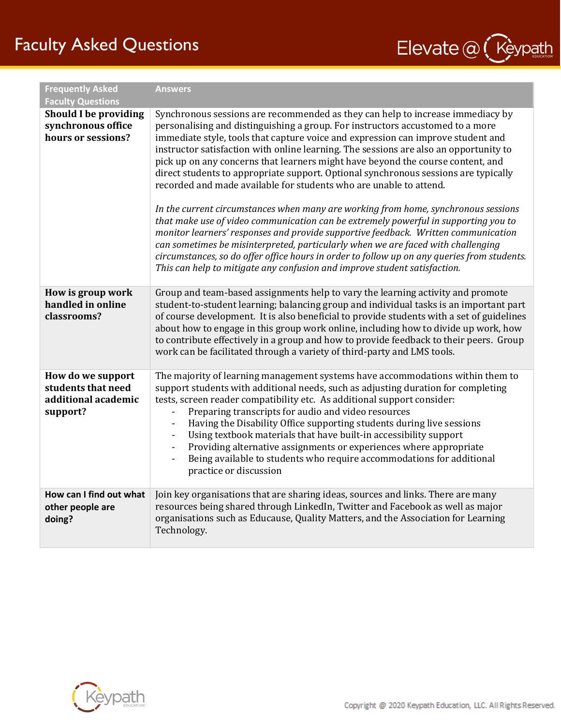# Faculty Asked Questions



| <b>Frequently Asked</b>                                                    | <b>Answers</b>                                                                                                                                                                                                                                                                                                                                                                                                                                                                                                                                                                                                                                                                                                                                                                                                                                                                                                                                                                                                                                                                                                                   |
|----------------------------------------------------------------------------|----------------------------------------------------------------------------------------------------------------------------------------------------------------------------------------------------------------------------------------------------------------------------------------------------------------------------------------------------------------------------------------------------------------------------------------------------------------------------------------------------------------------------------------------------------------------------------------------------------------------------------------------------------------------------------------------------------------------------------------------------------------------------------------------------------------------------------------------------------------------------------------------------------------------------------------------------------------------------------------------------------------------------------------------------------------------------------------------------------------------------------|
| <b>Faculty Questions</b>                                                   |                                                                                                                                                                                                                                                                                                                                                                                                                                                                                                                                                                                                                                                                                                                                                                                                                                                                                                                                                                                                                                                                                                                                  |
| <b>Should I be providing</b><br>synchronous office<br>hours or sessions?   | Synchronous sessions are recommended as they can help to increase immediacy by<br>personalising and distinguishing a group. For instructors accustomed to a more<br>immediate style, tools that capture voice and expression can improve student and<br>instructor satisfaction with online learning. The sessions are also an opportunity to<br>pick up on any concerns that learners might have beyond the course content, and<br>direct students to appropriate support. Optional synchronous sessions are typically<br>recorded and made available for students who are unable to attend.<br>In the current circumstances when many are working from home, synchronous sessions<br>that make use of video communication can be extremely powerful in supporting you to<br>monitor learners' responses and provide supportive feedback. Written communication<br>can sometimes be misinterpreted, particularly when we are faced with challenging<br>circumstances, so do offer office hours in order to follow up on any queries from students.<br>This can help to mitigate any confusion and improve student satisfaction. |
| How is group work<br>handled in online<br>classrooms?                      | Group and team-based assignments help to vary the learning activity and promote<br>student-to-student learning; balancing group and individual tasks is an important part<br>of course development. It is also beneficial to provide students with a set of guidelines<br>about how to engage in this group work online, including how to divide up work, how<br>to contribute effectively in a group and how to provide feedback to their peers. Group<br>work can be facilitated through a variety of third-party and LMS tools.                                                                                                                                                                                                                                                                                                                                                                                                                                                                                                                                                                                               |
| How do we support<br>students that need<br>additional academic<br>support? | The majority of learning management systems have accommodations within them to<br>support students with additional needs, such as adjusting duration for completing<br>tests, screen reader compatibility etc. As additional support consider:<br>Preparing transcripts for audio and video resources<br>Having the Disability Office supporting students during live sessions<br>Using textbook materials that have built-in accessibility support<br>Providing alternative assignments or experiences where appropriate<br>Being available to students who require accommodations for additional<br>$\blacksquare$<br>practice or discussion                                                                                                                                                                                                                                                                                                                                                                                                                                                                                   |
| How can I find out what<br>other people are<br>doing?                      | Join key organisations that are sharing ideas, sources and links. There are many<br>resources being shared through LinkedIn, Twitter and Facebook as well as major<br>organisations such as Educause, Quality Matters, and the Association for Learning<br>Technology.                                                                                                                                                                                                                                                                                                                                                                                                                                                                                                                                                                                                                                                                                                                                                                                                                                                           |

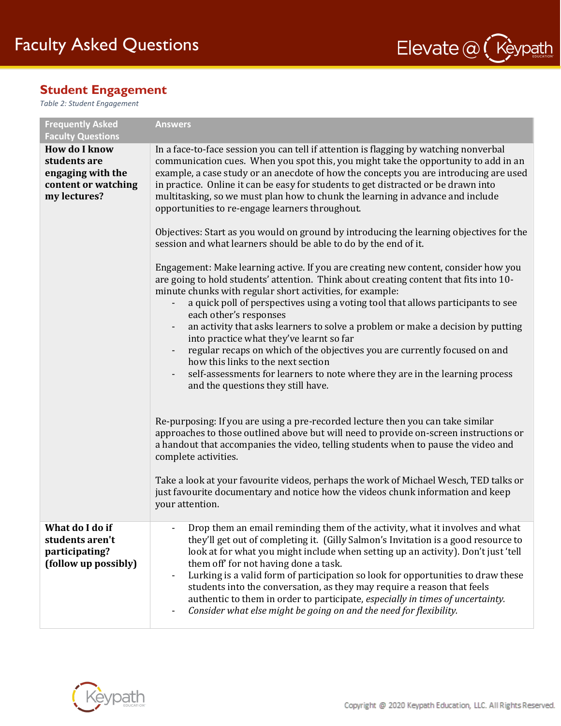

#### **Student Engagement**

*Table 2: Student Engagement*

| <b>Frequently Asked</b><br><b>Faculty Questions</b>                                              | <b>Answers</b>                                                                                                                                                                                                                                                                                                                                                                                                                                                                                                                                                                                                                                                                                                                                                                                                                                                                                                                                                                                                                                                                                                                                                                                                                                                                                                                                                                                                         |
|--------------------------------------------------------------------------------------------------|------------------------------------------------------------------------------------------------------------------------------------------------------------------------------------------------------------------------------------------------------------------------------------------------------------------------------------------------------------------------------------------------------------------------------------------------------------------------------------------------------------------------------------------------------------------------------------------------------------------------------------------------------------------------------------------------------------------------------------------------------------------------------------------------------------------------------------------------------------------------------------------------------------------------------------------------------------------------------------------------------------------------------------------------------------------------------------------------------------------------------------------------------------------------------------------------------------------------------------------------------------------------------------------------------------------------------------------------------------------------------------------------------------------------|
| <b>How do I know</b><br>students are<br>engaging with the<br>content or watching<br>my lectures? | In a face-to-face session you can tell if attention is flagging by watching nonverbal<br>communication cues. When you spot this, you might take the opportunity to add in an<br>example, a case study or an anecdote of how the concepts you are introducing are used<br>in practice. Online it can be easy for students to get distracted or be drawn into<br>multitasking, so we must plan how to chunk the learning in advance and include<br>opportunities to re-engage learners throughout.<br>Objectives: Start as you would on ground by introducing the learning objectives for the<br>session and what learners should be able to do by the end of it.<br>Engagement: Make learning active. If you are creating new content, consider how you<br>are going to hold students' attention. Think about creating content that fits into 10-<br>minute chunks with regular short activities, for example:<br>a quick poll of perspectives using a voting tool that allows participants to see<br>$\overline{\phantom{a}}$<br>each other's responses<br>an activity that asks learners to solve a problem or make a decision by putting<br>into practice what they've learnt so far<br>regular recaps on which of the objectives you are currently focused on and<br>$\overline{\phantom{a}}$<br>how this links to the next section<br>self-assessments for learners to note where they are in the learning process |
|                                                                                                  | and the questions they still have.<br>Re-purposing: If you are using a pre-recorded lecture then you can take similar<br>approaches to those outlined above but will need to provide on-screen instructions or<br>a handout that accompanies the video, telling students when to pause the video and<br>complete activities.<br>Take a look at your favourite videos, perhaps the work of Michael Wesch, TED talks or<br>just favourite documentary and notice how the videos chunk information and keep<br>your attention.                                                                                                                                                                                                                                                                                                                                                                                                                                                                                                                                                                                                                                                                                                                                                                                                                                                                                            |
| What do I do if<br>students aren't<br>participating?<br>(follow up possibly)                     | Drop them an email reminding them of the activity, what it involves and what<br>they'll get out of completing it. (Gilly Salmon's Invitation is a good resource to<br>look at for what you might include when setting up an activity). Don't just 'tell<br>them off for not having done a task.<br>Lurking is a valid form of participation so look for opportunities to draw these<br>students into the conversation, as they may require a reason that feels<br>authentic to them in order to participate, especially in times of uncertainty.<br>Consider what else might be going on and the need for flexibility.                                                                                                                                                                                                                                                                                                                                                                                                                                                                                                                                                                                                                                                                                                                                                                                                 |

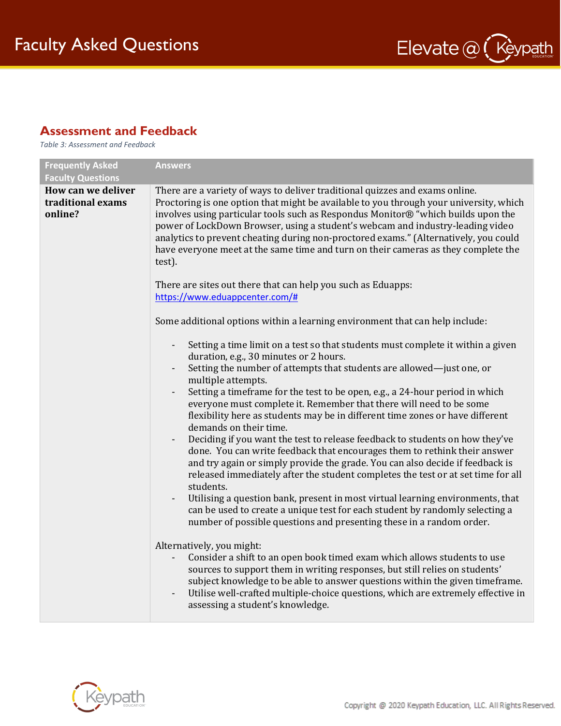

### **Assessment and Feedback**

*Table 3: Assessment and Feedback*

| <b>Frequently Asked</b><br><b>Faculty Questions</b> | <b>Answers</b>                                                                                                                                                                                                                                                                                                                                                                                                                                                                                                                                                                                                                                                                                                                                                                                                                                                                                                                                                                                                                                                                                                                                                                                                                                          |
|-----------------------------------------------------|---------------------------------------------------------------------------------------------------------------------------------------------------------------------------------------------------------------------------------------------------------------------------------------------------------------------------------------------------------------------------------------------------------------------------------------------------------------------------------------------------------------------------------------------------------------------------------------------------------------------------------------------------------------------------------------------------------------------------------------------------------------------------------------------------------------------------------------------------------------------------------------------------------------------------------------------------------------------------------------------------------------------------------------------------------------------------------------------------------------------------------------------------------------------------------------------------------------------------------------------------------|
| How can we deliver<br>traditional exams<br>online?  | There are a variety of ways to deliver traditional quizzes and exams online.<br>Proctoring is one option that might be available to you through your university, which<br>involves using particular tools such as Respondus Monitor® "which builds upon the<br>power of LockDown Browser, using a student's webcam and industry-leading video<br>analytics to prevent cheating during non-proctored exams." (Alternatively, you could<br>have everyone meet at the same time and turn on their cameras as they complete the<br>test).<br>There are sites out there that can help you such as Eduapps:<br>https://www.eduappcenter.com/#<br>Some additional options within a learning environment that can help include:<br>Setting a time limit on a test so that students must complete it within a given<br>duration, e.g., 30 minutes or 2 hours.<br>Setting the number of attempts that students are allowed-just one, or<br>multiple attempts.                                                                                                                                                                                                                                                                                                     |
|                                                     | Setting a timeframe for the test to be open, e.g., a 24-hour period in which<br>everyone must complete it. Remember that there will need to be some<br>flexibility here as students may be in different time zones or have different<br>demands on their time.<br>Deciding if you want the test to release feedback to students on how they've<br>done. You can write feedback that encourages them to rethink their answer<br>and try again or simply provide the grade. You can also decide if feedback is<br>released immediately after the student completes the test or at set time for all<br>students.<br>Utilising a question bank, present in most virtual learning environments, that<br>can be used to create a unique test for each student by randomly selecting a<br>number of possible questions and presenting these in a random order.<br>Alternatively, you might:<br>Consider a shift to an open book timed exam which allows students to use<br>sources to support them in writing responses, but still relies on students'<br>subject knowledge to be able to answer questions within the given timeframe.<br>Utilise well-crafted multiple-choice questions, which are extremely effective in<br>assessing a student's knowledge. |

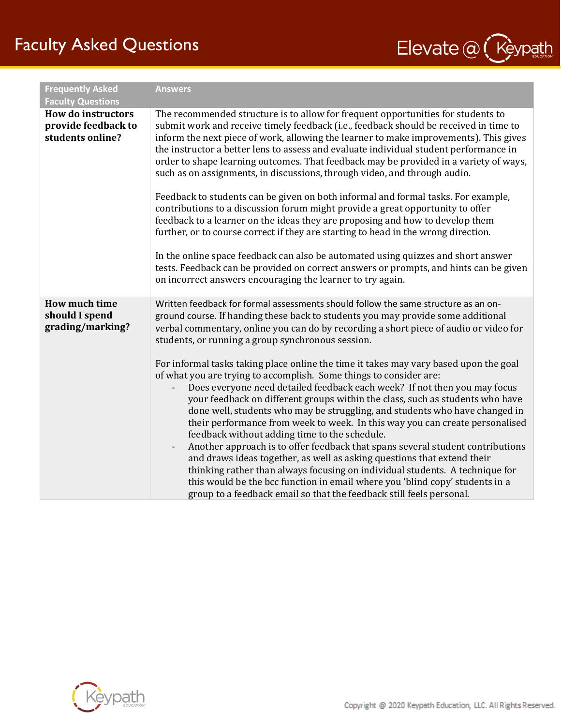# Faculty Asked Questions



| <b>Frequently Asked</b><br><b>Faculty Questions</b>                  | <b>Answers</b>                                                                                                                                                                                                                                                                                                                                                                                                                                                                                                                                                                                                                                                                                                                                                                                                                                                                                                                                                                                                                                                                                                                                                                                                                                                         |
|----------------------------------------------------------------------|------------------------------------------------------------------------------------------------------------------------------------------------------------------------------------------------------------------------------------------------------------------------------------------------------------------------------------------------------------------------------------------------------------------------------------------------------------------------------------------------------------------------------------------------------------------------------------------------------------------------------------------------------------------------------------------------------------------------------------------------------------------------------------------------------------------------------------------------------------------------------------------------------------------------------------------------------------------------------------------------------------------------------------------------------------------------------------------------------------------------------------------------------------------------------------------------------------------------------------------------------------------------|
| <b>How do instructors</b><br>provide feedback to<br>students online? | The recommended structure is to allow for frequent opportunities for students to<br>submit work and receive timely feedback (i.e., feedback should be received in time to<br>inform the next piece of work, allowing the learner to make improvements). This gives<br>the instructor a better lens to assess and evaluate individual student performance in<br>order to shape learning outcomes. That feedback may be provided in a variety of ways,<br>such as on assignments, in discussions, through video, and through audio.<br>Feedback to students can be given on both informal and formal tasks. For example,<br>contributions to a discussion forum might provide a great opportunity to offer<br>feedback to a learner on the ideas they are proposing and how to develop them<br>further, or to course correct if they are starting to head in the wrong direction.<br>In the online space feedback can also be automated using quizzes and short answer<br>tests. Feedback can be provided on correct answers or prompts, and hints can be given                                                                                                                                                                                                          |
|                                                                      | on incorrect answers encouraging the learner to try again.                                                                                                                                                                                                                                                                                                                                                                                                                                                                                                                                                                                                                                                                                                                                                                                                                                                                                                                                                                                                                                                                                                                                                                                                             |
| <b>How much time</b><br>should I spend<br>grading/marking?           | Written feedback for formal assessments should follow the same structure as an on-<br>ground course. If handing these back to students you may provide some additional<br>verbal commentary, online you can do by recording a short piece of audio or video for<br>students, or running a group synchronous session.<br>For informal tasks taking place online the time it takes may vary based upon the goal<br>of what you are trying to accomplish. Some things to consider are:<br>Does everyone need detailed feedback each week? If not then you may focus<br>your feedback on different groups within the class, such as students who have<br>done well, students who may be struggling, and students who have changed in<br>their performance from week to week. In this way you can create personalised<br>feedback without adding time to the schedule.<br>Another approach is to offer feedback that spans several student contributions<br>and draws ideas together, as well as asking questions that extend their<br>thinking rather than always focusing on individual students. A technique for<br>this would be the bcc function in email where you 'blind copy' students in a<br>group to a feedback email so that the feedback still feels personal. |

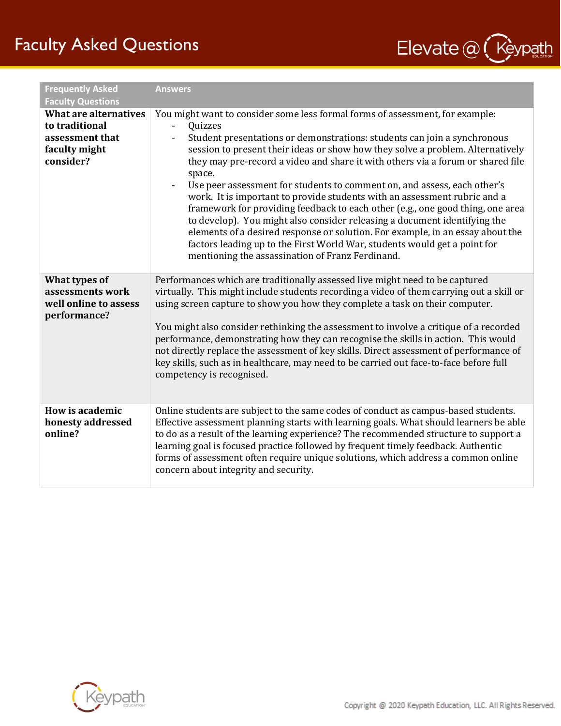# Faculty Asked Questions



| <b>Frequently Asked</b><br><b>Faculty Questions</b>                                             | <b>Answers</b>                                                                                                                                                                                                                                                                                                                                                                                                                                                                                                                                                                                                                                                                                                                                                                                                                                                                                                                                         |
|-------------------------------------------------------------------------------------------------|--------------------------------------------------------------------------------------------------------------------------------------------------------------------------------------------------------------------------------------------------------------------------------------------------------------------------------------------------------------------------------------------------------------------------------------------------------------------------------------------------------------------------------------------------------------------------------------------------------------------------------------------------------------------------------------------------------------------------------------------------------------------------------------------------------------------------------------------------------------------------------------------------------------------------------------------------------|
| <b>What are alternatives</b><br>to traditional<br>assessment that<br>faculty might<br>consider? | You might want to consider some less formal forms of assessment, for example:<br>Quizzes<br>$\overline{\phantom{a}}$<br>Student presentations or demonstrations: students can join a synchronous<br>$\overline{\phantom{a}}$<br>session to present their ideas or show how they solve a problem. Alternatively<br>they may pre-record a video and share it with others via a forum or shared file<br>space.<br>Use peer assessment for students to comment on, and assess, each other's<br>work. It is important to provide students with an assessment rubric and a<br>framework for providing feedback to each other (e.g., one good thing, one area<br>to develop). You might also consider releasing a document identifying the<br>elements of a desired response or solution. For example, in an essay about the<br>factors leading up to the First World War, students would get a point for<br>mentioning the assassination of Franz Ferdinand. |
| What types of<br>assessments work<br>well online to assess<br>performance?                      | Performances which are traditionally assessed live might need to be captured<br>virtually. This might include students recording a video of them carrying out a skill or<br>using screen capture to show you how they complete a task on their computer.<br>You might also consider rethinking the assessment to involve a critique of a recorded<br>performance, demonstrating how they can recognise the skills in action. This would<br>not directly replace the assessment of key skills. Direct assessment of performance of<br>key skills, such as in healthcare, may need to be carried out face-to-face before full<br>competency is recognised.                                                                                                                                                                                                                                                                                               |
| How is academic<br>honesty addressed<br>online?                                                 | Online students are subject to the same codes of conduct as campus-based students.<br>Effective assessment planning starts with learning goals. What should learners be able<br>to do as a result of the learning experience? The recommended structure to support a<br>learning goal is focused practice followed by frequent timely feedback. Authentic<br>forms of assessment often require unique solutions, which address a common online<br>concern about integrity and security.                                                                                                                                                                                                                                                                                                                                                                                                                                                                |